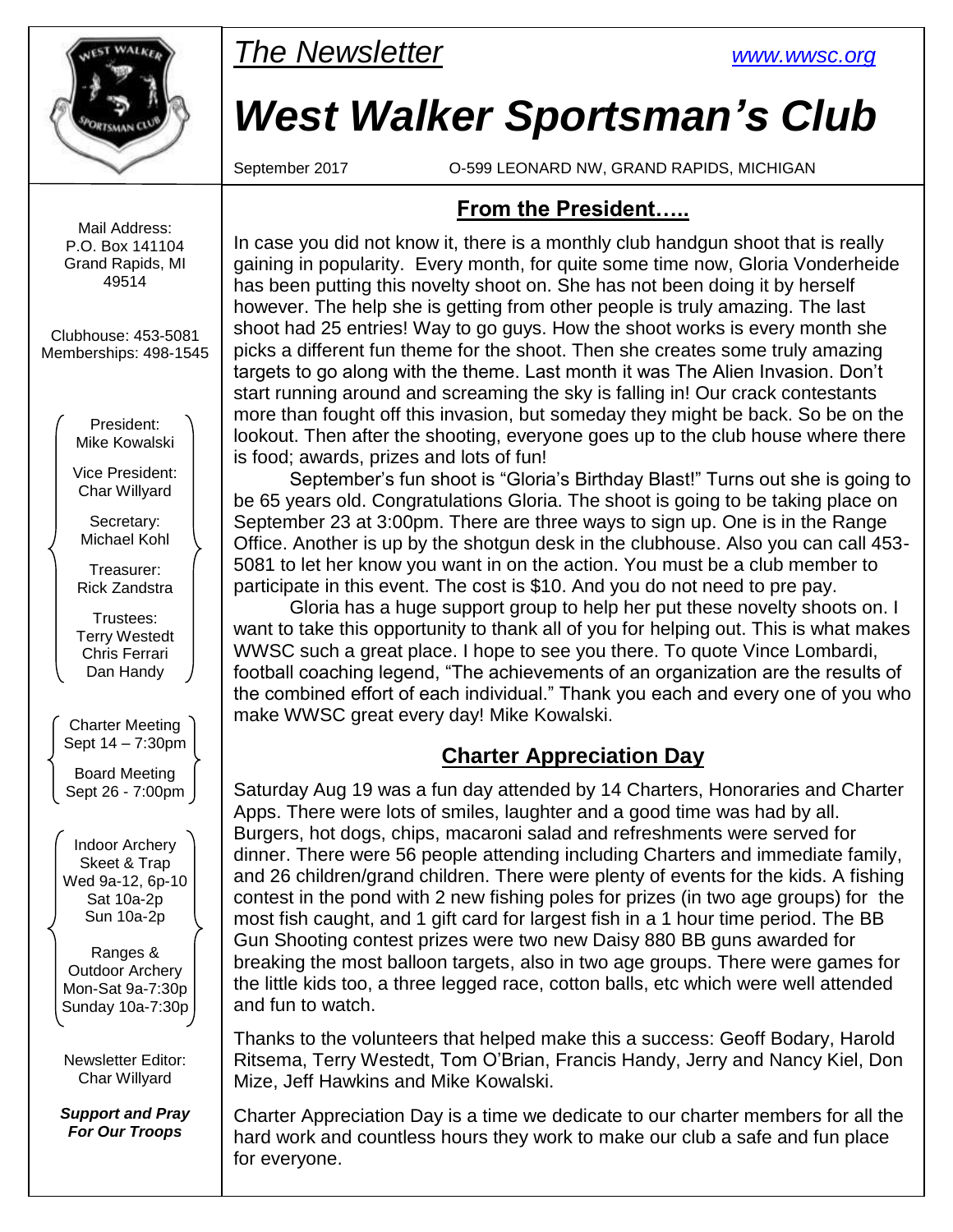

*The Newsletter [www.wwsc.org](file:///C:/WWSC/Newsletter/www.wwsc.org)*

# *West Walker Sportsman's Club*

September 2017 O-599 LEONARD NW, GRAND RAPIDS, MICHIGAN

#### Mail Address: P.O. Box 141104 Grand Rapids, MI 49514

Clubhouse: 453-5081 Memberships: 498-1545

> President: Mike Kowalski

Vice President: Char Willyard

Secretary: Michael Kohl

Treasurer: Rick Zandstra

Trustees: Terry Westedt Chris Ferrari Dan Handy

Charter Meeting Sept 14 – 7:30pm

Board Meeting Sept 26 - 7:00pm

Indoor Archery Skeet & Trap Wed 9a-12, 6p-10 Sat 10a-2p Sun 10a-2p

Ranges & Outdoor Archery Mon-Sat 9a-7:30p Sunday 10a-7:30p

Newsletter Editor: Char Willyard

*Support and Pray For Our Troops*

**From the President…..**

In case you did not know it, there is a monthly club handgun shoot that is really gaining in popularity. Every month, for quite some time now, Gloria Vonderheide has been putting this novelty shoot on. She has not been doing it by herself however. The help she is getting from other people is truly amazing. The last shoot had 25 entries! Way to go guys. How the shoot works is every month she picks a different fun theme for the shoot. Then she creates some truly amazing targets to go along with the theme. Last month it was The Alien Invasion. Don't start running around and screaming the sky is falling in! Our crack contestants more than fought off this invasion, but someday they might be back. So be on the lookout. Then after the shooting, everyone goes up to the club house where there is food; awards, prizes and lots of fun!

September's fun shoot is "Gloria's Birthday Blast!" Turns out she is going to be 65 years old. Congratulations Gloria. The shoot is going to be taking place on September 23 at 3:00pm. There are three ways to sign up. One is in the Range Office. Another is up by the shotgun desk in the clubhouse. Also you can call 453- 5081 to let her know you want in on the action. You must be a club member to participate in this event. The cost is \$10. And you do not need to pre pay.

Gloria has a huge support group to help her put these novelty shoots on. I want to take this opportunity to thank all of you for helping out. This is what makes WWSC such a great place. I hope to see you there. To quote Vince Lombardi, football coaching legend, "The achievements of an organization are the results of the combined effort of each individual." Thank you each and every one of you who make WWSC great every day! Mike Kowalski.

## **Charter Appreciation Day**

Saturday Aug 19 was a fun day attended by 14 Charters, Honoraries and Charter Apps. There were lots of smiles, laughter and a good time was had by all. Burgers, hot dogs, chips, macaroni salad and refreshments were served for dinner. There were 56 people attending including Charters and immediate family, and 26 children/grand children. There were plenty of events for the kids. A fishing contest in the pond with 2 new fishing poles for prizes (in two age groups) for the most fish caught, and 1 gift card for largest fish in a 1 hour time period. The BB Gun Shooting contest prizes were two new Daisy 880 BB guns awarded for breaking the most balloon targets, also in two age groups. There were games for the little kids too, a three legged race, cotton balls, etc which were well attended and fun to watch.

Thanks to the volunteers that helped make this a success: Geoff Bodary, Harold Ritsema, Terry Westedt, Tom O'Brian, Francis Handy, Jerry and Nancy Kiel, Don Mize, Jeff Hawkins and Mike Kowalski.

Charter Appreciation Day is a time we dedicate to our charter members for all the hard work and countless hours they work to make our club a safe and fun place for everyone.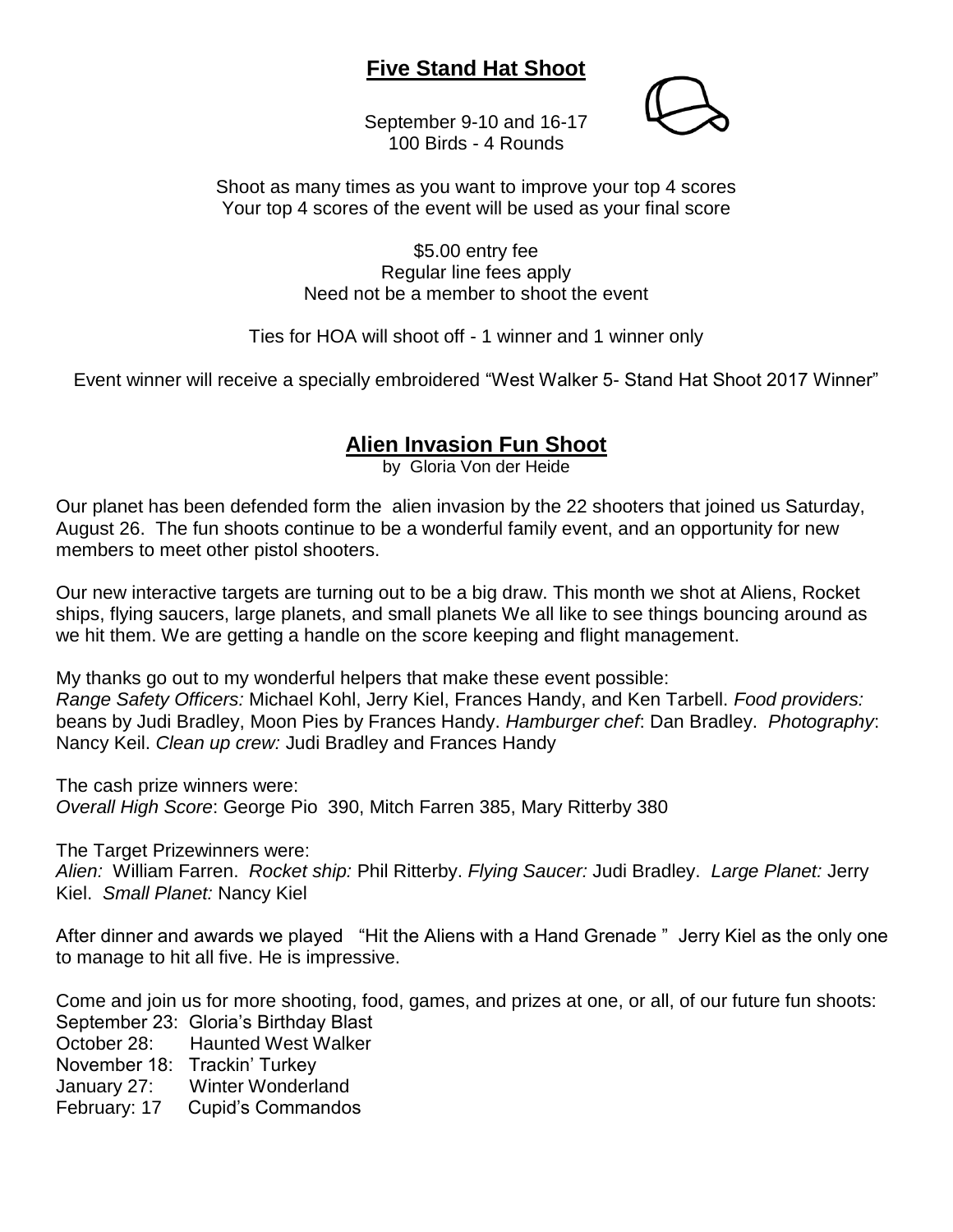## **Five Stand Hat Shoot**

September 9-10 and 16-17 100 Birds - 4 Rounds



Shoot as many times as you want to improve your top 4 scores Your top 4 scores of the event will be used as your final score

> \$5.00 entry fee Regular line fees apply Need not be a member to shoot the event

Ties for HOA will shoot off - 1 winner and 1 winner only

Event winner will receive a specially embroidered "West Walker 5- Stand Hat Shoot 2017 Winner"

## **Alien Invasion Fun Shoot**

by Gloria Von der Heide

Our planet has been defended form the alien invasion by the 22 shooters that joined us Saturday, August 26. The fun shoots continue to be a wonderful family event, and an opportunity for new members to meet other pistol shooters.

Our new interactive targets are turning out to be a big draw. This month we shot at Aliens, Rocket ships, flying saucers, large planets, and small planets We all like to see things bouncing around as we hit them. We are getting a handle on the score keeping and flight management.

My thanks go out to my wonderful helpers that make these event possible: *Range Safety Officers:* Michael Kohl, Jerry Kiel, Frances Handy, and Ken Tarbell. *Food providers:* beans by Judi Bradley, Moon Pies by Frances Handy. *Hamburger chef*: Dan Bradley. *Photography*: Nancy Keil. *Clean up crew:* Judi Bradley and Frances Handy

The cash prize winners were: *Overall High Score*: George Pio 390, Mitch Farren 385, Mary Ritterby 380

The Target Prizewinners were:

*Alien:* William Farren. *Rocket ship:* Phil Ritterby. *Flying Saucer:* Judi Bradley. *Large Planet:* Jerry Kiel. *Small Planet:* Nancy Kiel

After dinner and awards we played "Hit the Aliens with a Hand Grenade " Jerry Kiel as the only one to manage to hit all five. He is impressive.

Come and join us for more shooting, food, games, and prizes at one, or all, of our future fun shoots: September 23: Gloria's Birthday Blast

October 28: Haunted West Walker

November 18: Trackin' Turkey

January 27: Winter Wonderland

February: 17 Cupid's Commandos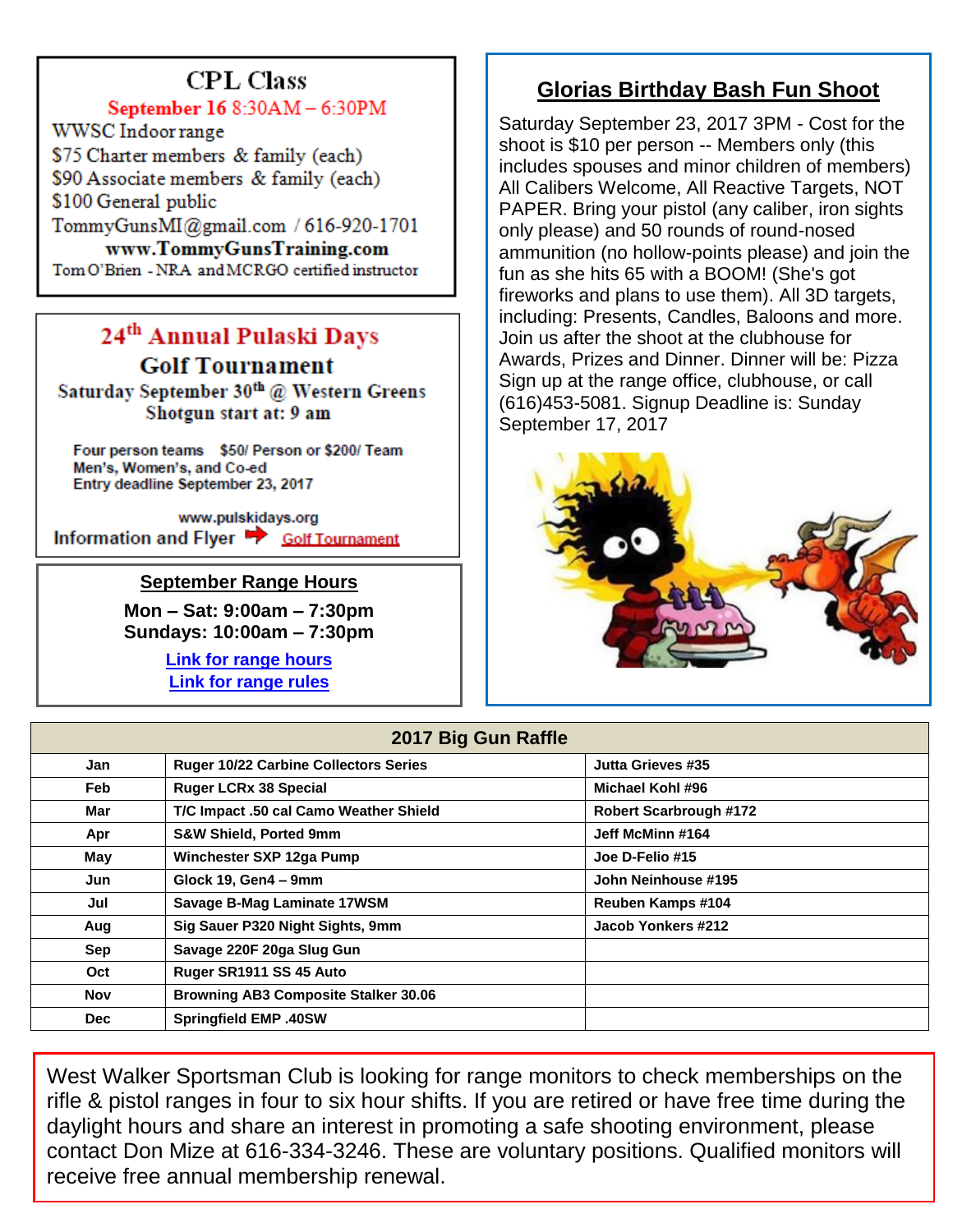# **CPL Class**

### September 16 8:30AM - 6:30PM

WWSC Indoor range \$75 Charter members & family (each) \$90 Associate members & family (each) \$100 General public TommyGunsMI@gmail.com / 616-920-1701 www.TommyGunsTraining.com

Tom O'Brien - NRA and MCRGO certified instructor

# 24<sup>th</sup> Annual Pulaski Days **Golf Tournament**

Saturday September 30th @ Western Greens Shotgun start at: 9 am

Four person teams \$50/ Person or \$200/ Team Men's, Women's, and Co-ed Entry deadline September 23, 2017

www.pulskidays.org Information and Flyer Solf Tournament

#### **September Range Hours**

**Mon – Sat: 9:00am – 7:30pm Sundays: 10:00am – 7:30pm**

> **[Link for range hours](http://www.wwsc.org/range-hours.shtml) [Link for range rules](http://www.wwsc.org/img/ranges/RangeRules.pdf)**

# **Glorias Birthday Bash Fun Shoot**

Saturday September 23, 2017 3PM - Cost for the shoot is \$10 per person -- Members only (this includes spouses and minor children of members) All Calibers Welcome, All Reactive Targets, NOT PAPER. Bring your pistol (any caliber, iron sights only please) and 50 rounds of round-nosed ammunition (no hollow-points please) and join the fun as she hits 65 with a BOOM! (She's got fireworks and plans to use them). All 3D targets, including: Presents, Candles, Baloons and more. Join us after the shoot at the clubhouse for Awards, Prizes and Dinner. Dinner will be: Pizza Sign up at the range office, clubhouse, or call (616)453-5081. Signup Deadline is: Sunday September 17, 2017



| 2017 Big Gun Raffle |                                              |                               |  |  |  |  |
|---------------------|----------------------------------------------|-------------------------------|--|--|--|--|
| Jan                 | <b>Ruger 10/22 Carbine Collectors Series</b> | Jutta Grieves #35             |  |  |  |  |
| Feb                 | <b>Ruger LCRx 38 Special</b>                 | Michael Kohl #96              |  |  |  |  |
| Mar                 | T/C Impact .50 cal Camo Weather Shield       | <b>Robert Scarbrough #172</b> |  |  |  |  |
| Apr                 | <b>S&amp;W Shield, Ported 9mm</b>            | Jeff McMinn #164              |  |  |  |  |
| May                 | Winchester SXP 12ga Pump                     | Joe D-Felio #15               |  |  |  |  |
| Jun                 | Glock 19, Gen4 - 9mm                         | John Neinhouse #195           |  |  |  |  |
| Jul                 | Savage B-Mag Laminate 17WSM                  | Reuben Kamps #104             |  |  |  |  |
| Aug                 | Sig Sauer P320 Night Sights, 9mm             | Jacob Yonkers #212            |  |  |  |  |
| Sep                 | Savage 220F 20ga Slug Gun                    |                               |  |  |  |  |
| Oct                 | Ruger SR1911 SS 45 Auto                      |                               |  |  |  |  |
| Nov                 | <b>Browning AB3 Composite Stalker 30.06</b>  |                               |  |  |  |  |
| <b>Dec</b>          | <b>Springfield EMP .40SW</b>                 |                               |  |  |  |  |

West Walker Sportsman Club is looking for range monitors to check memberships on the rifle & pistol ranges in four to six hour shifts. If you are retired or have free time during the daylight hours and share an interest in promoting a safe shooting environment, please contact Don Mize at 616-334-3246. These are voluntary positions. Qualified monitors will receive free annual membership renewal.